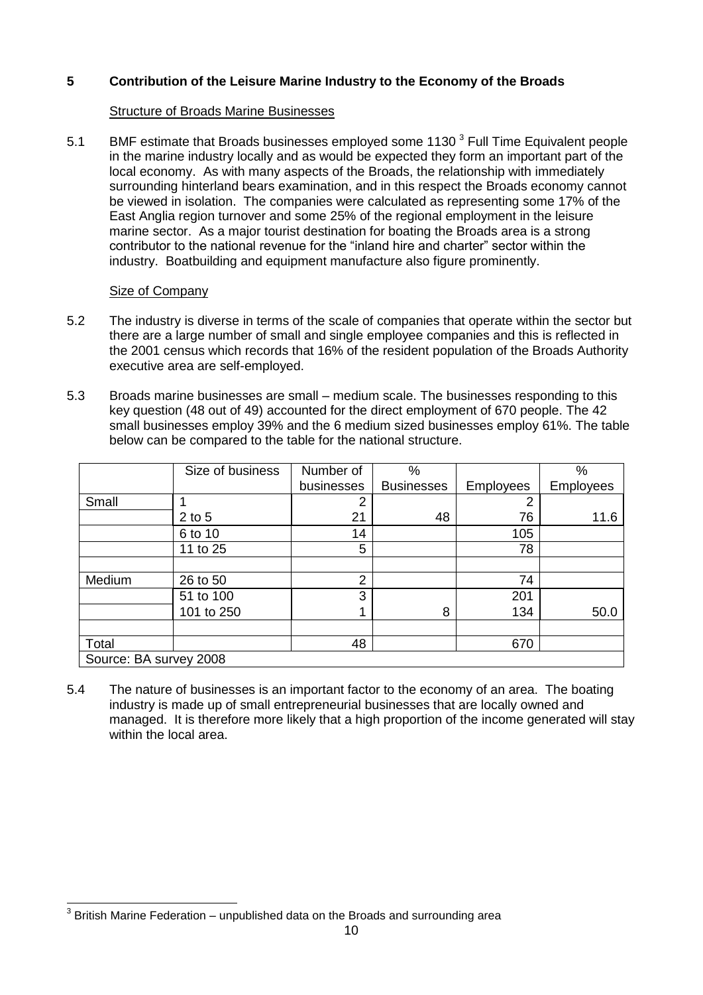# **5 Contribution of the Leisure Marine Industry to the Economy of the Broads**

## **Structure of Broads Marine Businesses**

5.1 BMF estimate that Broads businesses employed some 1130  $3$  Full Time Equivalent people in the marine industry locally and as would be expected they form an important part of the local economy. As with many aspects of the Broads, the relationship with immediately surrounding hinterland bears examination, and in this respect the Broads economy cannot be viewed in isolation. The companies were calculated as representing some 17% of the East Anglia region turnover and some 25% of the regional employment in the leisure marine sector. As a major tourist destination for boating the Broads area is a strong contributor to the national revenue for the "inland hire and charter" sector within the industry. Boatbuilding and equipment manufacture also figure prominently.

#### Size of Company

- $5.2$  there are a large number of small and single employee companies and this is reflected in the 2001 census which records that 16% of the resident population of the Broads Authority The industry is diverse in terms of the scale of companies that operate within the sector but executive area are self-employed.
- 5.3 Broads marine businesses are small medium scale. The businesses responding to this key question (48 out of 49) accounted for the direct employment of 670 people. The 42 small businesses employ 39% and the 6 medium sized businesses employ 61%. The table below can be compared to the table for the national structure.

|                        | Size of business | Number of     | $\%$              |                  | $\%$             |  |  |
|------------------------|------------------|---------------|-------------------|------------------|------------------|--|--|
|                        |                  | businesses    | <b>Businesses</b> | <b>Employees</b> | <b>Employees</b> |  |  |
| Small                  |                  | 2             |                   | າ                |                  |  |  |
|                        | $2$ to $5$       | 21            | 48                | 76               | 11.6             |  |  |
|                        | 6 to 10          | 14            |                   | 105              |                  |  |  |
|                        | 11 to 25         | 5             |                   | 78               |                  |  |  |
|                        |                  |               |                   |                  |                  |  |  |
| Medium                 | 26 to 50         | $\mathcal{P}$ |                   | 74               |                  |  |  |
|                        | 51 to 100        | 3             |                   | 201              |                  |  |  |
|                        | 101 to 250       |               | 8                 | 134              | 50.0             |  |  |
|                        |                  |               |                   |                  |                  |  |  |
| Total                  |                  | 48            |                   | 670              |                  |  |  |
| Source: BA survey 2008 |                  |               |                   |                  |                  |  |  |

5.4 industry is made up of small entrepreneurial businesses that are locally owned and managed. It is therefore more likely that a high proportion of the income generated will stay within the local area. The nature of businesses is an important factor to the economy of an area. The boating

 $\overline{1}$  $3$  British Marine Federation – unpublished data on the Broads and surrounding area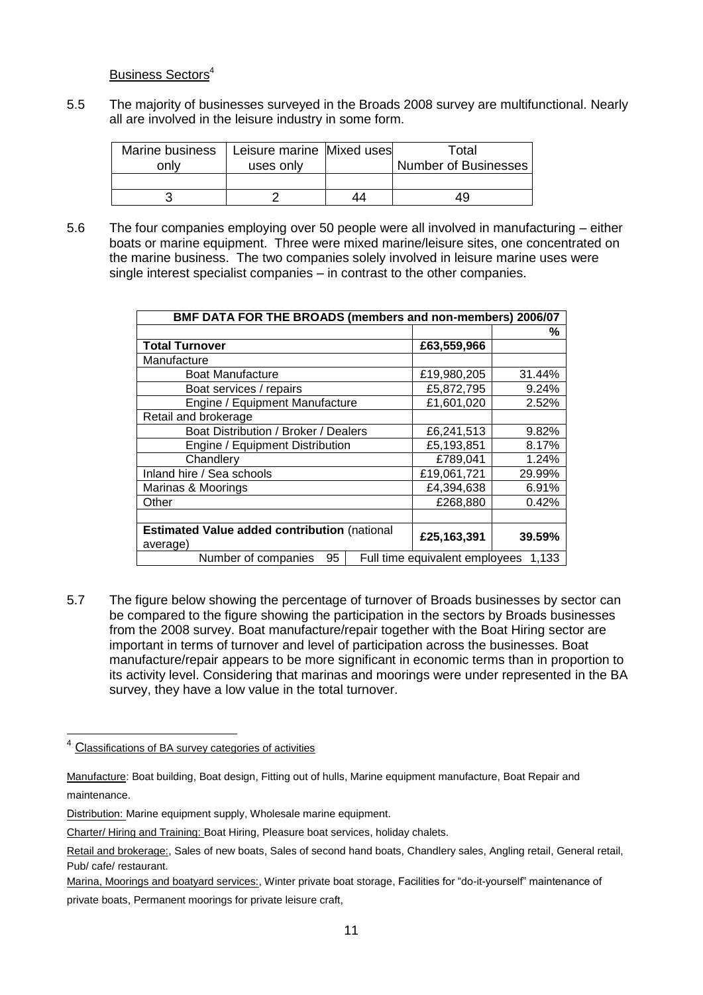#### Business Sectors<sup>4</sup>

5.5 all are involved in the leisure industry in some form. The majority of businesses surveyed in the Broads 2008 survey are multifunctional. Nearly

| Marine business | Leisure marine Mixed uses |    | Total                       |
|-----------------|---------------------------|----|-----------------------------|
| only            | uses only                 |    | <b>Number of Businesses</b> |
|                 |                           |    |                             |
|                 |                           | 44 | 49                          |

 $5.6$  boats or marine equipment. Three were mixed marine/leisure sites, one concentrated on the marine business. The two companies solely involved in leisure marine uses were single interest specialist companies – in contrast to the other companies. The four companies employing over 50 people were all involved in manufacturing  $-$  either

| BMF DATA FOR THE BROADS (members and non-members) 2006/07       |                                |        |  |  |
|-----------------------------------------------------------------|--------------------------------|--------|--|--|
|                                                                 |                                | ℅      |  |  |
| <b>Total Turnover</b>                                           | £63,559,966                    |        |  |  |
| Manufacture                                                     |                                |        |  |  |
| <b>Boat Manufacture</b>                                         | £19,980,205                    | 31.44% |  |  |
| Boat services / repairs                                         | £5,872,795                     | 9.24%  |  |  |
| Engine / Equipment Manufacture                                  | £1,601,020                     | 2.52%  |  |  |
| Retail and brokerage                                            |                                |        |  |  |
| Boat Distribution / Broker / Dealers                            | £6,241,513                     | 9.82%  |  |  |
| Engine / Equipment Distribution                                 | £5,193,851                     | 8.17%  |  |  |
| Chandlery                                                       | £789,041                       | 1.24%  |  |  |
| Inland hire / Sea schools                                       | £19,061,721                    | 29.99% |  |  |
| Marinas & Moorings                                              | £4,394,638                     | 6.91%  |  |  |
| Other                                                           | £268,880                       | 0.42%  |  |  |
|                                                                 |                                |        |  |  |
| <b>Estimated Value added contribution (national</b><br>average) | £25,163,391                    | 39.59% |  |  |
| Number of companies<br>95                                       | Full time equivalent employees | 1.133  |  |  |

5.7 be compared to the figure showing the participation in the sectors by Broads businesses from the 2008 survey. Boat manufacture/repair together with the Boat Hiring sector are important in terms of turnover and level of participation across the businesses. Boat manufacture/repair appears to be more significant in economic terms than in proportion to its activity level. Considering that marinas and moorings were under represented in the BA survey, they have a low value in the total turnover. The figure below showing the percentage of turnover of Broads businesses by sector can

-

<sup>&</sup>lt;sup>4</sup> Classifications of BA survey categories of activities

Manufacture: Boat building, Boat design, Fitting out of hulls, Marine equipment manufacture, Boat Repair and maintenance.

Distribution: Marine equipment supply, Wholesale marine equipment.

Charter/ Hiring and Training: Boat Hiring, Pleasure boat services, holiday chalets.

Retail and brokerage:, Sales of new boats, Sales of second hand boats, Chandlery sales, Angling retail, General retail, Pub/ cafe/ restaurant.

Marina, Moorings and boatyard services:, Winter private boat storage, Facilities for "do-it-yourself" maintenance of

 private boats, Permanent moorings for private leisure craft,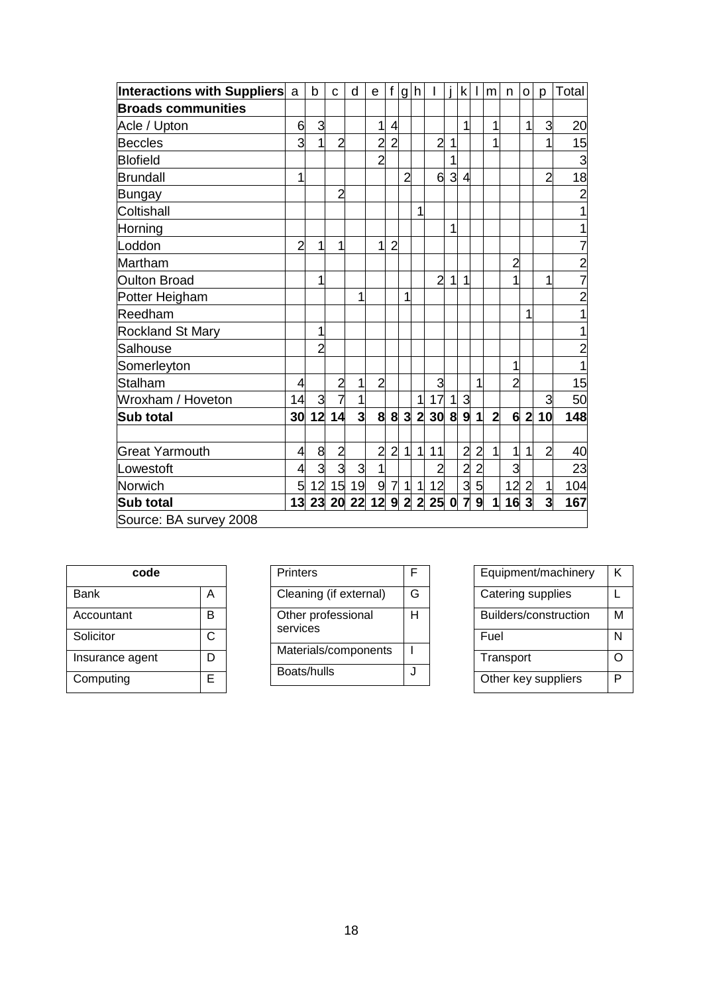| Interactions with Suppliers a |                | b              | C                       | d                       | e              | $\mathsf f$    | g h            |                |                |                  |                         | $k$            | m              | n              | $\circ$        | p                       | Total          |
|-------------------------------|----------------|----------------|-------------------------|-------------------------|----------------|----------------|----------------|----------------|----------------|------------------|-------------------------|----------------|----------------|----------------|----------------|-------------------------|----------------|
| <b>Broads communities</b>     |                |                |                         |                         |                |                |                |                |                |                  |                         |                |                |                |                |                         |                |
| Acle / Upton                  | 6              | $\overline{3}$ |                         |                         | 1              | $\overline{4}$ |                |                |                |                  | 1                       |                | 1              |                | $\overline{1}$ | 3                       | 20             |
| <b>Beccles</b>                | 3              | $\overline{1}$ | $\overline{2}$          |                         | $\overline{c}$ | $\overline{2}$ |                |                | $\overline{c}$ | $\mathbf 1$      |                         |                | 1              |                |                | $\overline{1}$          | 15             |
| <b>Blofield</b>               |                |                |                         |                         | $\overline{2}$ |                |                |                |                | 1                |                         |                |                |                |                |                         | 3              |
| Brundall                      | 1              |                |                         |                         |                |                | $\overline{2}$ |                | 6              | 3                | $\overline{4}$          |                |                |                |                | 2                       | 18             |
| Bungay                        |                |                | $\overline{2}$          |                         |                |                |                |                |                |                  |                         |                |                |                |                |                         | $\overline{2}$ |
| Coltishall                    |                |                |                         |                         |                |                |                | 1              |                |                  |                         |                |                |                |                |                         |                |
| Horning                       |                |                |                         |                         |                |                |                |                |                | 1                |                         |                |                |                |                |                         |                |
| Loddon                        | $\overline{2}$ | $\overline{1}$ | $\overline{1}$          |                         | 1              | $\overline{2}$ |                |                |                |                  |                         |                |                |                |                |                         | $\overline{7}$ |
| Martham                       |                |                |                         |                         |                |                |                |                |                |                  |                         |                |                | $\overline{2}$ |                |                         | $\overline{2}$ |
| <b>Oulton Broad</b>           |                | 1              |                         |                         |                |                |                |                | $\overline{2}$ | $\mathbf{1}$     | 1                       |                |                | 1              |                | 1                       | $\overline{7}$ |
| Potter Heigham                |                |                |                         | 1                       |                |                | $\mathbf{1}$   |                |                |                  |                         |                |                |                |                |                         | $\overline{2}$ |
| Reedham                       |                |                |                         |                         |                |                |                |                |                |                  |                         |                |                |                | 1              |                         |                |
| <b>Rockland St Mary</b>       |                | 1              |                         |                         |                |                |                |                |                |                  |                         |                |                |                |                |                         |                |
| Salhouse                      |                | $\overline{2}$ |                         |                         |                |                |                |                |                |                  |                         |                |                |                |                |                         | $\overline{2}$ |
| Somerleyton                   |                |                |                         |                         |                |                |                |                |                |                  |                         |                |                | 1              |                |                         | 1              |
| Stalham                       | 4              |                | $\overline{c}$          | 1                       | $\overline{2}$ |                |                |                | 3              |                  |                         | 1              |                | $\overline{2}$ |                |                         | 15             |
| Wroxham / Hoveton             | 14             | $\mathbf{3}$   | $\overline{\mathbf{z}}$ | $\mathbf{1}$            |                |                |                | $\mathbf{1}$   | 17             | 1                | 3                       |                |                |                |                | 3                       | 50             |
| <b>Sub total</b>              | 30             | 12             | 14                      | $\overline{\mathbf{3}}$ | 8              | 8              | $\mathbf{3}$   | $2 \vert$      | 30             |                  | 8 9 1                   |                | $\overline{2}$ | $6 \mid$       | $\overline{2}$ | 10                      | 148            |
|                               |                |                |                         |                         |                |                |                |                |                |                  |                         |                |                |                |                |                         |                |
| <b>Great Yarmouth</b>         | $\overline{4}$ |                | $\overline{a}$          |                         | $\overline{2}$ | $\overline{2}$ | $\mathbf{1}$   | $\mathbf{1}$   | 11             |                  | $\overline{2}$          | $\overline{2}$ | 1              | $\mathbf{1}$   | $\overline{1}$ | $\overline{2}$          | 40             |
| Lowestoft                     | $\overline{4}$ | $\frac{8}{3}$  | 3                       | $\mathbf{3}$            | $\mathbf{1}$   |                |                |                | $\overline{2}$ |                  | $\overline{2}$          | $\overline{2}$ |                | ن              |                |                         | 23             |
| Norwich                       | 5 <sup>1</sup> | 12             |                         | $15$ 19                 | $\overline{9}$ |                | 71             | $\vert$        | 12             |                  | ن                       | 5              |                | 12             | $\overline{2}$ | $\mathbf{1}$            | 104            |
| Sub total                     | 13             | 23             | 20                      | 22                      | 12             | 9              | $\overline{2}$ | $\overline{2}$ | 25             | $\boldsymbol{0}$ | $\overline{\mathbf{z}}$ | $\overline{9}$ | $\mathbf{1}$   | 16             | $\overline{3}$ | $\overline{\mathbf{3}}$ | 167            |
| Source: BA survey 2008        |                |                |                         |                         |                |                |                |                |                |                  |                         |                |                |                |                |                         |                |

| code            |   |  |  |
|-----------------|---|--|--|
| Bank            | А |  |  |
| Accountant      | в |  |  |
| Solicitor       | C |  |  |
| Insurance agent | D |  |  |
| Computing       | F |  |  |

| <b>Printers</b>                | F |
|--------------------------------|---|
| Cleaning (if external)         | G |
| Other professional<br>services | н |
| Materials/components           |   |
| Boats/hulls                    |   |

| Equipment/machinery   | ĸ |
|-----------------------|---|
| Catering supplies     |   |
| Builders/construction | М |
| Fuel                  | N |
| Transport             |   |
| Other key suppliers   | ▫ |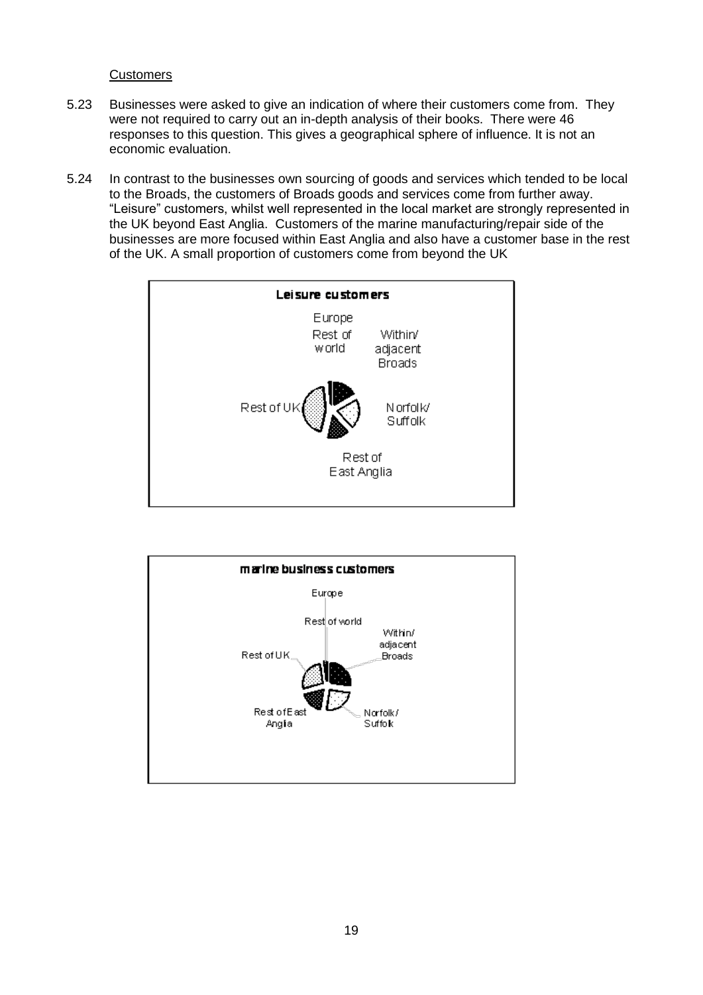#### **Customers**

- 5.23 Businesses were asked to give an indication of where their customers come from. They were not required to carry out an in-depth analysis of their books. There were 46 responses to this question. This gives a geographical sphere of influence. It is not an economic evaluation.
- 5.24 In contrast to the businesses own sourcing of goods and services which tended to be local to the Broads, the customers of Broads goods and services come from further away. "Leisure" customers, whilst well represented in the local market are strongly represented in the UK beyond East Anglia. Customers of the marine manufacturing/repair side of the businesses are more focused within East Anglia and also have a customer base in the rest of the UK. A small proportion of customers come from beyond the UK



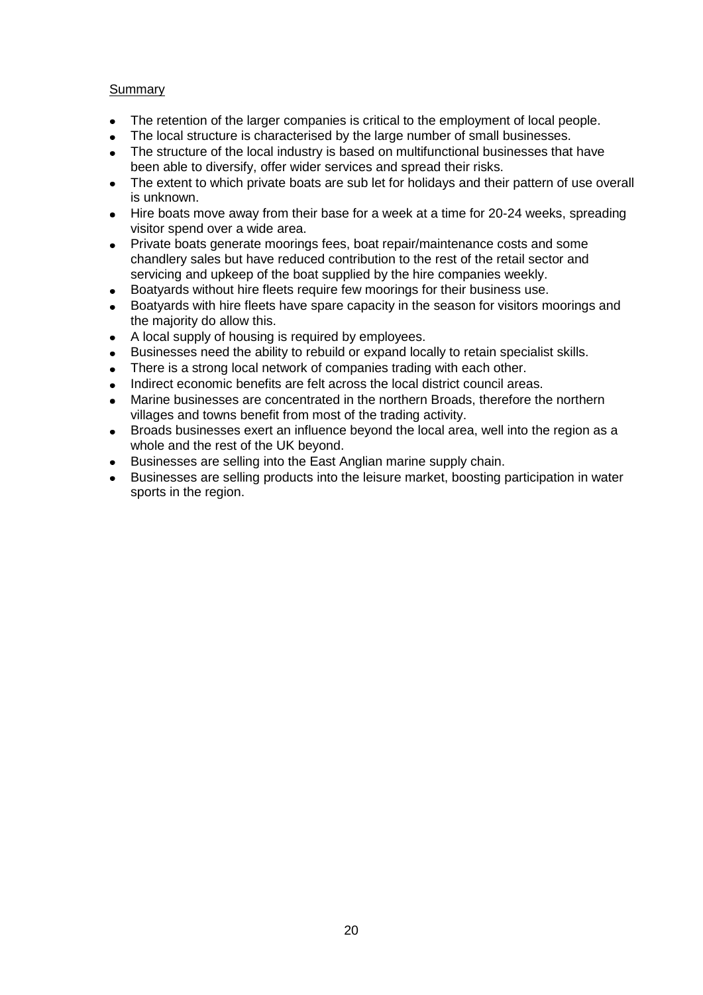## Summary

- $\bullet$ The retention of the larger companies is critical to the employment of local people.
- The local structure is characterised by the large number of small businesses.
- been able to diversify, offer wider services and spread their risks. The structure of the local industry is based on multifunctional businesses that have
- The extent to which private boats are sub let for holidays and their pattern of use overall is unknown.
- $\bullet$  Hire boats move away from their base for a week at a time for 20-24 weeks, spreading visitor spend over a wide area.
- $\bullet$  Private boats generate moorings fees, boat repair/maintenance costs and some chandlery sales but have reduced contribution to the rest of the retail sector and servicing and upkeep of the boat supplied by the hire companies weekly.
- Boatyards without hire fleets require few moorings for their business use.
- Boatyards with hire fleets have spare capacity in the season for visitors moorings and the majority do allow this.
- A local supply of housing is required by employees.
- Businesses need the ability to rebuild or expand locally to retain specialist skills.
- There is a strong local network of companies trading with each other.
- Indirect economic benefits are felt across the local district council areas.
- Marine businesses are concentrated in the northern Broads, therefore the northern villages and towns benefit from most of the trading activity.
- $\bullet$  Broads businesses exert an influence beyond the local area, well into the region as a whole and the rest of the UK beyond.
- Businesses are selling into the East Anglian marine supply chain.
- Businesses are selling products into the leisure market, boosting participation in water sports in the region.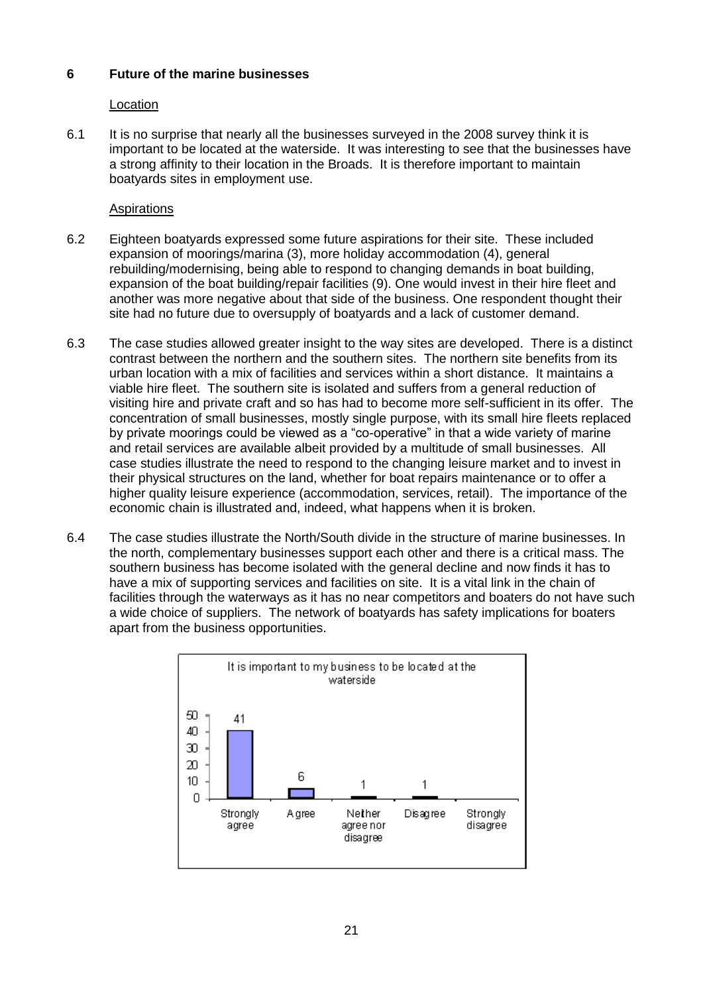## **6 Future of the marine businesses**

#### Location

 important to be located at the waterside. It was interesting to see that the businesses have a strong affinity to their location in the Broads. It is therefore important to maintain boatyards sites in employment use. 6.1 It is no surprise that nearly all the businesses surveyed in the 2008 survey think it is

#### Aspirations

- 6.2 Eighteen boatyards expressed some future aspirations for their site. These included expansion of moorings/marina (3), more holiday accommodation (4), general rebuilding/modernising, being able to respond to changing demands in boat building, expansion of the boat building/repair facilities (9). One would invest in their hire fleet and another was more negative about that side of the business. One respondent thought their site had no future due to oversupply of boatyards and a lack of customer demand.
- 6.3 contrast between the northern and the southern sites. The northern site benefits from its urban location with a mix of facilities and services within a short distance. It maintains a viable hire fleet. The southern site is isolated and suffers from a general reduction of visiting hire and private craft and so has had to become more self-sufficient in its offer. The concentration of small businesses, mostly single purpose, with its small hire fleets replaced by private moorings could be viewed as a "co-operative" in that a wide variety of marine and retail services are available albeit provided by a multitude of small businesses. All case studies illustrate the need to respond to the changing leisure market and to invest in their physical structures on the land, whether for boat repairs maintenance or to offer a higher quality leisure experience (accommodation, services, retail). The importance of the economic chain is illustrated and, indeed, what happens when it is broken. The case studies allowed greater insight to the way sites are developed. There is a distinct
- 6.4 the north, complementary businesses support each other and there is a critical mass. The southern business has become isolated with the general decline and now finds it has to have a mix of supporting services and facilities on site. It is a vital link in the chain of facilities through the waterways as it has no near competitors and boaters do not have such a wide choice of suppliers. The network of boatyards has safety implications for boaters apart from the business opportunities. The case studies illustrate the North/South divide in the structure of marine businesses. In

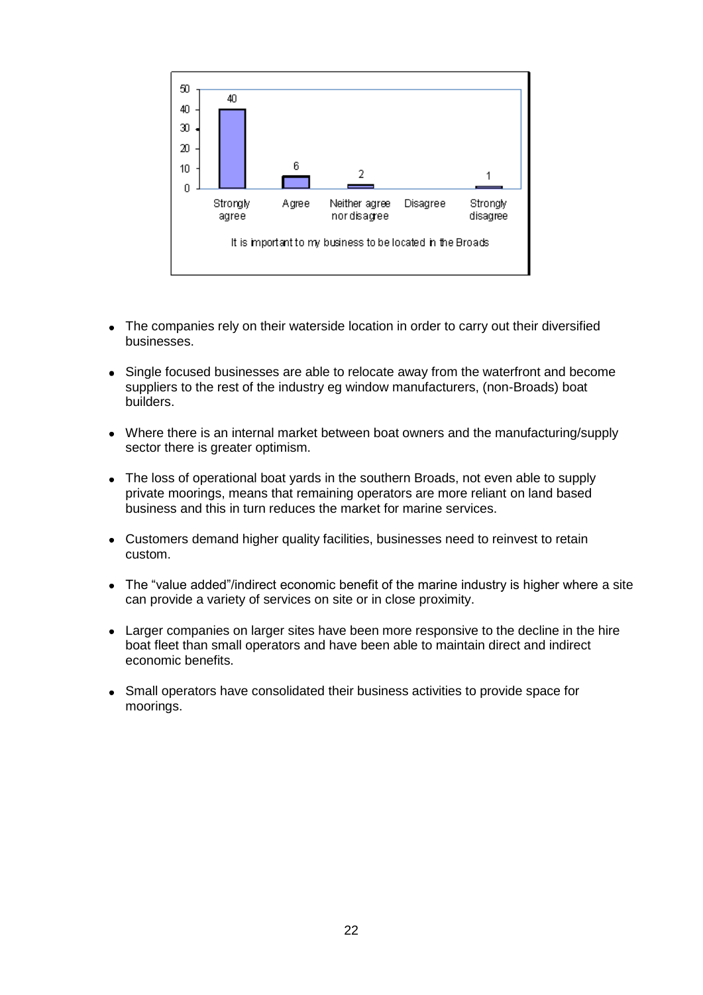

- The companies rely on their waterside location in order to carry out their diversified businesses.
- Single focused businesses are able to relocate away from the waterfront and become suppliers to the rest of the industry eg window manufacturers, (non-Broads) boat builders.
- Where there is an internal market between boat owners and the manufacturing/supply sector there is greater optimism.
- The loss of operational boat yards in the southern Broads, not even able to supply private moorings, means that remaining operators are more reliant on land based business and this in turn reduces the market for marine services.
- Customers demand higher quality facilities, businesses need to reinvest to retain custom.
- The "value added"/indirect economic benefit of the marine industry is higher where a site can provide a variety of services on site or in close proximity.
- Larger companies on larger sites have been more responsive to the decline in the hire boat fleet than small operators and have been able to maintain direct and indirect economic benefits.
- Small operators have consolidated their business activities to provide space for moorings.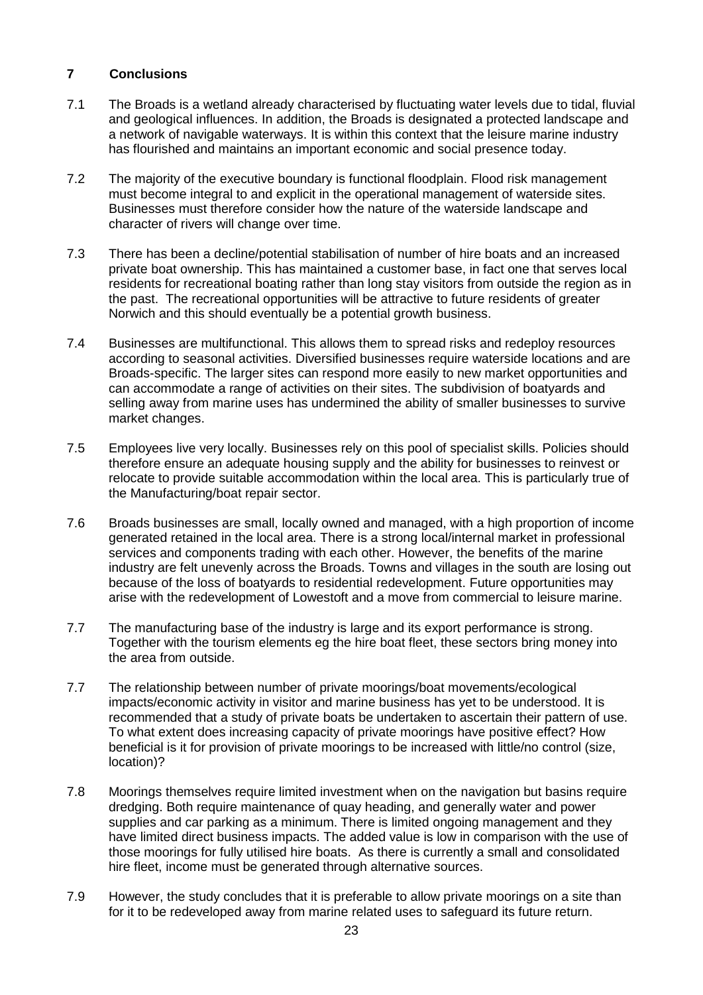### **7 Conclusions**

- $7.1$  and geological influences. In addition, the Broads is designated a protected landscape and a network of navigable waterways. It is within this context that the leisure marine industry has flourished and maintains an important economic and social presence today. The Broads is a wetland already characterised by fluctuating water levels due to tidal, fluvial
- $7.2$  must become integral to and explicit in the operational management of waterside sites. Businesses must therefore consider how the nature of the waterside landscape and character of rivers will change over time. The majority of the executive boundary is functional floodplain. Flood risk management
- 7.3 There has been a decline/potential stabilisation of number of hire boats and an increased private boat ownership. This has maintained a customer base, in fact one that serves local residents for recreational boating rather than long stay visitors from outside the region as in the past. The recreational opportunities will be attractive to future residents of greater Norwich and this should eventually be a potential growth business.
- 7.4 Businesses are multifunctional. This allows them to spread risks and redeploy resources according to seasonal activities. Diversified businesses require waterside locations and are Broads-specific. The larger sites can respond more easily to new market opportunities and can accommodate a range of activities on their sites. The subdivision of boatyards and selling away from marine uses has undermined the ability of smaller businesses to survive market changes.
- 7.5 Employees live very locally. Businesses rely on this pool of specialist skills. Policies should therefore ensure an adequate housing supply and the ability for businesses to reinvest or relocate to provide suitable accommodation within the local area. This is particularly true of the Manufacturing/boat repair sector.
- 7.6 Broads businesses are small, locally owned and managed, with a high proportion of income generated retained in the local area. There is a strong local/internal market in professional services and components trading with each other. However, the benefits of the marine industry are felt unevenly across the Broads. Towns and villages in the south are losing out because of the loss of boatyards to residential redevelopment. Future opportunities may arise with the redevelopment of Lowestoft and a move from commercial to leisure marine.
- $7.7$  Together with the tourism elements eg the hire boat fleet, these sectors bring money into the area from outside. The manufacturing base of the industry is large and its export performance is strong.
- $7.7$  impacts/economic activity in visitor and marine business has yet to be understood. It is recommended that a study of private boats be undertaken to ascertain their pattern of use. To what extent does increasing capacity of private moorings have positive effect? How beneficial is it for provision of private moorings to be increased with little/no control (size, The relationship between number of private moorings/boat movements/ecological location)?
- 7.8 Moorings themselves require limited investment when on the navigation but basins require dredging. Both require maintenance of quay heading, and generally water and power supplies and car parking as a minimum. There is limited ongoing management and they have limited direct business impacts. The added value is low in comparison with the use of those moorings for fully utilised hire boats. As there is currently a small and consolidated hire fleet, income must be generated through alternative sources.
- 7.9 However, the study concludes that it is preferable to allow private moorings on a site than for it to be redeveloped away from marine related uses to safeguard its future return.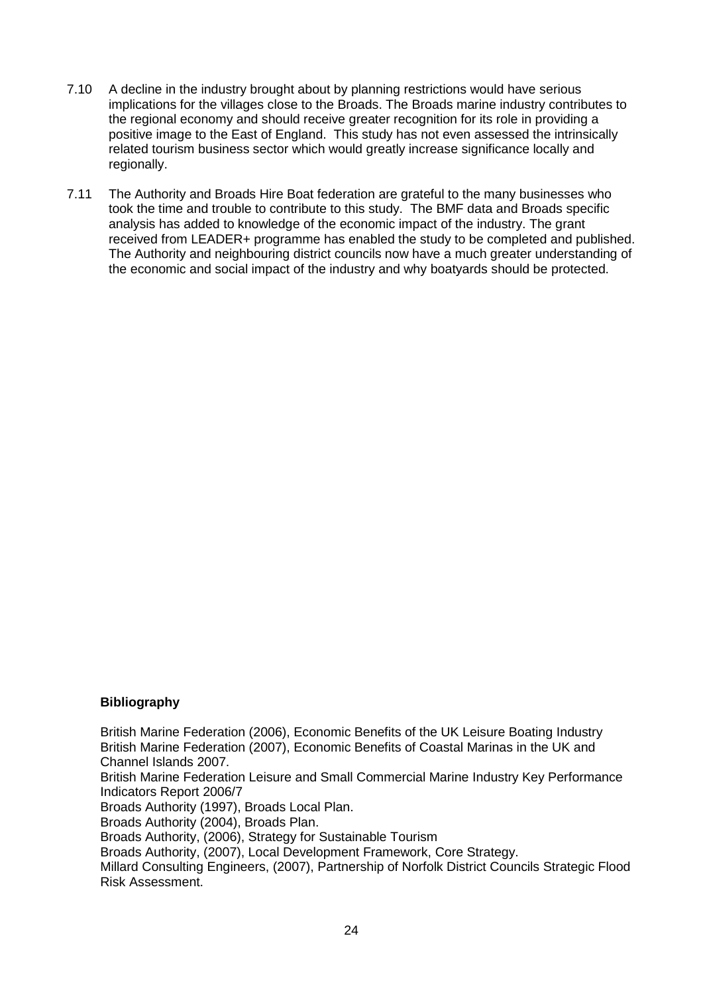- $7.10$  implications for the villages close to the Broads. The Broads marine industry contributes to the regional economy and should receive greater recognition for its role in providing a positive image to the East of England. This study has not even assessed the intrinsically related tourism business sector which would greatly increase significance locally and A decline in the industry brought about by planning restrictions would have serious regionally.
- $7.11$  took the time and trouble to contribute to this study. The BMF data and Broads specific analysis has added to knowledge of the economic impact of the industry. The grant received from LEADER+ programme has enabled the study to be completed and published. The Authority and neighbouring district councils now have a much greater understanding of the economic and social impact of the industry and why boatyards should be protected. The Authority and Broads Hire Boat federation are grateful to the many businesses who

#### **Bibliography**

 British Marine Federation (2006), Economic Benefits of the UK Leisure Boating Industry British Marine Federation (2007), Economic Benefits of Coastal Marinas in the UK and Channel Islands 2007.

 British Marine Federation Leisure and Small Commercial Marine Industry Key Performance Indicators Report 2006/7

Broads Authority (1997), Broads Local Plan.

Broads Authority (2004), Broads Plan.

Broads Authority, (2006), Strategy for Sustainable Tourism

Broads Authority, (2007), Local Development Framework, Core Strategy.

 Millard Consulting Engineers, (2007), Partnership of Norfolk District Councils Strategic Flood Risk Assessment.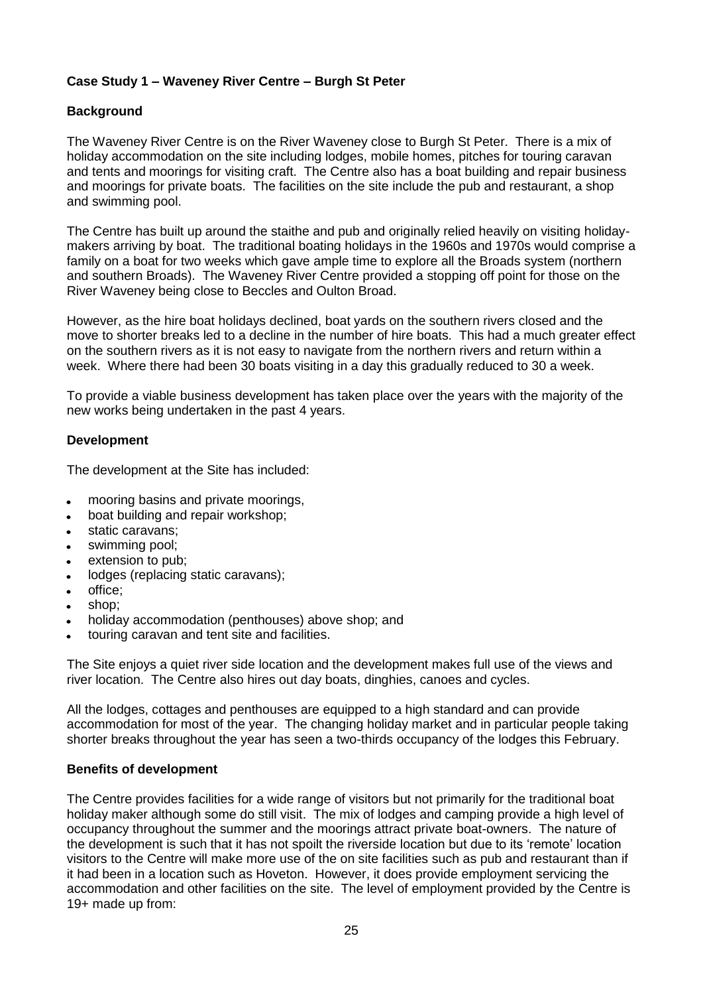## **Case Study 1 – Waveney River Centre – Burgh St Peter**

## **Background**

 The Waveney River Centre is on the River Waveney close to Burgh St Peter. There is a mix of holiday accommodation on the site including lodges, mobile homes, pitches for touring caravan and tents and moorings for visiting craft. The Centre also has a boat building and repair business and moorings for private boats. The facilities on the site include the pub and restaurant, a shop and swimming pool.

 The Centre has built up around the staithe and pub and originally relied heavily on visiting holiday- makers arriving by boat. The traditional boating holidays in the 1960s and 1970s would comprise a family on a boat for two weeks which gave ample time to explore all the Broads system (northern and southern Broads). The Waveney River Centre provided a stopping off point for those on the River Waveney being close to Beccles and Oulton Broad.

 However, as the hire boat holidays declined, boat yards on the southern rivers closed and the move to shorter breaks led to a decline in the number of hire boats. This had a much greater effect on the southern rivers as it is not easy to navigate from the northern rivers and return within a week. Where there had been 30 boats visiting in a day this gradually reduced to 30 a week.

 To provide a viable business development has taken place over the years with the majority of the new works being undertaken in the past 4 years.

#### **Development**

The development at the Site has included:

- mooring basins and private moorings,  $\bullet$
- boat building and repair workshop;
- static caravans;
- swimming pool;
- extension to pub;
- lodges (replacing static caravans);
- office;  $\bullet$
- shop;
- holiday accommodation (penthouses) above shop; and
- touring caravan and tent site and facilities.

 The Site enjoys a quiet river side location and the development makes full use of the views and river location. The Centre also hires out day boats, dinghies, canoes and cycles.

 All the lodges, cottages and penthouses are equipped to a high standard and can provide accommodation for most of the year. The changing holiday market and in particular people taking shorter breaks throughout the year has seen a two-thirds occupancy of the lodges this February.

#### **Benefits of development**

 The Centre provides facilities for a wide range of visitors but not primarily for the traditional boat holiday maker although some do still visit. The mix of lodges and camping provide a high level of occupancy throughout the summer and the moorings attract private boat-owners. The nature of the development is such that it has not spoilt the riverside location but due to its "remote" location visitors to the Centre will make more use of the on site facilities such as pub and restaurant than if it had been in a location such as Hoveton. However, it does provide employment servicing the accommodation and other facilities on the site. The level of employment provided by the Centre is 19+ made up from: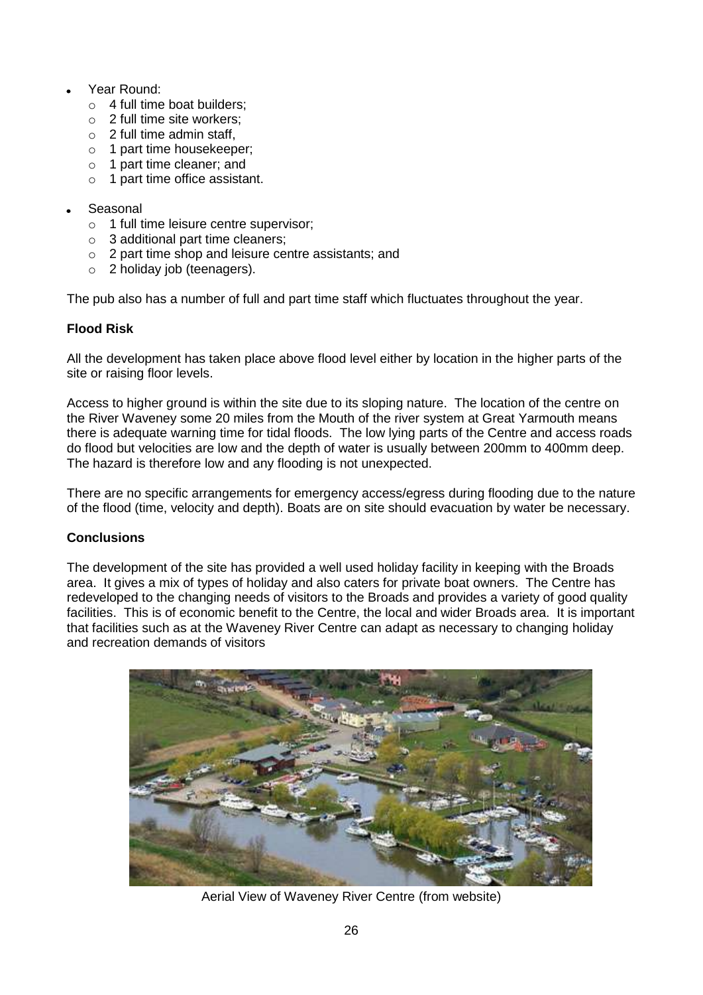- Year Round:
	- o 4 full time boat builders;
	- $\circ$  2 full time site workers;
	- $\circ$  2 full time admin staff,
	- o 1 part time housekeeper;
	- o 1 part time cleaner; and
	- o 1 part time office assistant.
- Seasonal
	- o 1 full time leisure centre supervisor;
	- o 3 additional part time cleaners;
	- o 2 part time shop and leisure centre assistants; and
	- o 2 holiday job (teenagers).

The pub also has a number of full and part time staff which fluctuates throughout the year.

## **Flood Risk**

 All the development has taken place above flood level either by location in the higher parts of the site or raising floor levels.

 Access to higher ground is within the site due to its sloping nature. The location of the centre on the River Waveney some 20 miles from the Mouth of the river system at Great Yarmouth means there is adequate warning time for tidal floods. The low lying parts of the Centre and access roads do flood but velocities are low and the depth of water is usually between 200mm to 400mm deep. The hazard is therefore low and any flooding is not unexpected.

 There are no specific arrangements for emergency access/egress during flooding due to the nature of the flood (time, velocity and depth). Boats are on site should evacuation by water be necessary.

## **Conclusions**

 The development of the site has provided a well used holiday facility in keeping with the Broads area. It gives a mix of types of holiday and also caters for private boat owners. The Centre has redeveloped to the changing needs of visitors to the Broads and provides a variety of good quality facilities. This is of economic benefit to the Centre, the local and wider Broads area. It is important that facilities such as at the Waveney River Centre can adapt as necessary to changing holiday and recreation demands of visitors



Aerial View of Waveney River Centre (from website)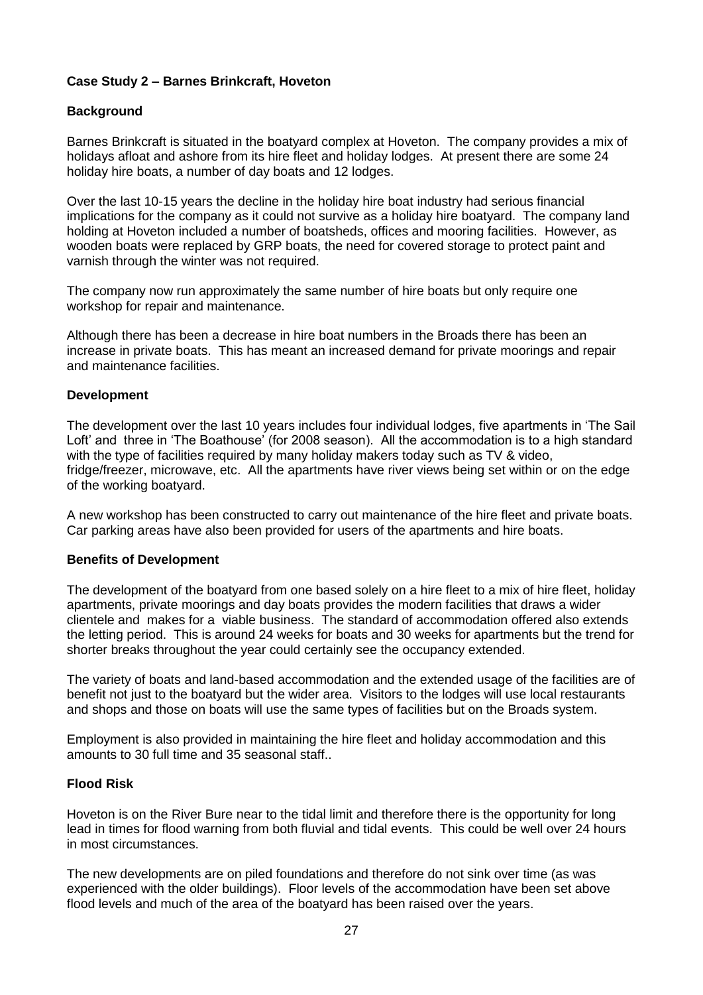## **Case Study 2 – Barnes Brinkcraft, Hoveton**

## **Background**

 Barnes Brinkcraft is situated in the boatyard complex at Hoveton. The company provides a mix of holidays afloat and ashore from its hire fleet and holiday lodges. At present there are some 24 holiday hire boats, a number of day boats and 12 lodges.

 Over the last 10-15 years the decline in the holiday hire boat industry had serious financial implications for the company as it could not survive as a holiday hire boatyard. The company land holding at Hoveton included a number of boatsheds, offices and mooring facilities. However, as wooden boats were replaced by GRP boats, the need for covered storage to protect paint and varnish through the winter was not required.

 The company now run approximately the same number of hire boats but only require one workshop for repair and maintenance.

 Although there has been a decrease in hire boat numbers in the Broads there has been an increase in private boats. This has meant an increased demand for private moorings and repair and maintenance facilities.

#### **Development**

 The development over the last 10 years includes four individual lodges, five apartments in "The Sail Loft' and three in 'The Boathouse' (for 2008 season). All the accommodation is to a high standard with the type of facilities required by many holiday makers today such as TV & video, fridge/freezer, microwave, etc. All the apartments have river views being set within or on the edge of the working boatyard.

 A new workshop has been constructed to carry out maintenance of the hire fleet and private boats. Car parking areas have also been provided for users of the apartments and hire boats.

#### **Benefits of Development**

 The development of the boatyard from one based solely on a hire fleet to a mix of hire fleet, holiday apartments, private moorings and day boats provides the modern facilities that draws a wider clientele and makes for a viable business. The standard of accommodation offered also extends the letting period. This is around 24 weeks for boats and 30 weeks for apartments but the trend for shorter breaks throughout the year could certainly see the occupancy extended.

 The variety of boats and land-based accommodation and the extended usage of the facilities are of benefit not just to the boatyard but the wider area. Visitors to the lodges will use local restaurants and shops and those on boats will use the same types of facilities but on the Broads system.

 Employment is also provided in maintaining the hire fleet and holiday accommodation and this amounts to 30 full time and 35 seasonal staff..

#### **Flood Risk**

 Hoveton is on the River Bure near to the tidal limit and therefore there is the opportunity for long lead in times for flood warning from both fluvial and tidal events. This could be well over 24 hours in most circumstances.

 The new developments are on piled foundations and therefore do not sink over time (as was experienced with the older buildings). Floor levels of the accommodation have been set above flood levels and much of the area of the boatyard has been raised over the years.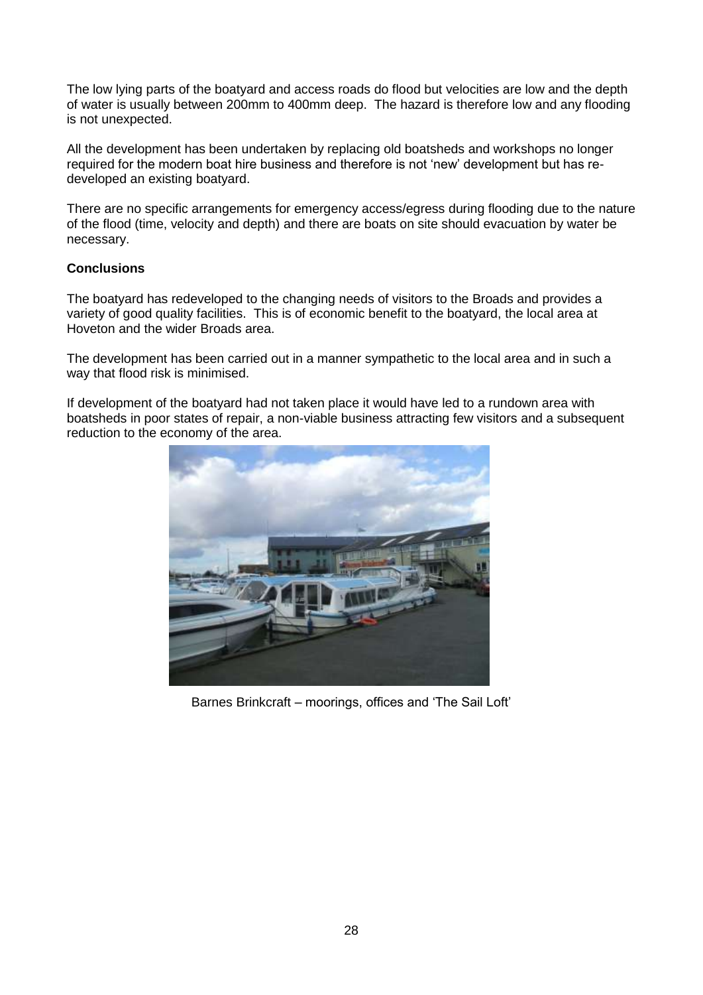The low lying parts of the boatyard and access roads do flood but velocities are low and the depth of water is usually between 200mm to 400mm deep. The hazard is therefore low and any flooding is not unexpected.

 All the development has been undertaken by replacing old boatsheds and workshops no longer required for the modern boat hire business and therefore is not "new" development but has re-developed an existing boatyard.

 There are no specific arrangements for emergency access/egress during flooding due to the nature of the flood (time, velocity and depth) and there are boats on site should evacuation by water be necessary.

### **Conclusions**

 The boatyard has redeveloped to the changing needs of visitors to the Broads and provides a variety of good quality facilities. This is of economic benefit to the boatyard, the local area at Hoveton and the wider Broads area.

 The development has been carried out in a manner sympathetic to the local area and in such a way that flood risk is minimised.

 If development of the boatyard had not taken place it would have led to a rundown area with boatsheds in poor states of repair, a non-viable business attracting few visitors and a subsequent reduction to the economy of the area.



Barnes Brinkcraft – moorings, offices and "The Sail Loft"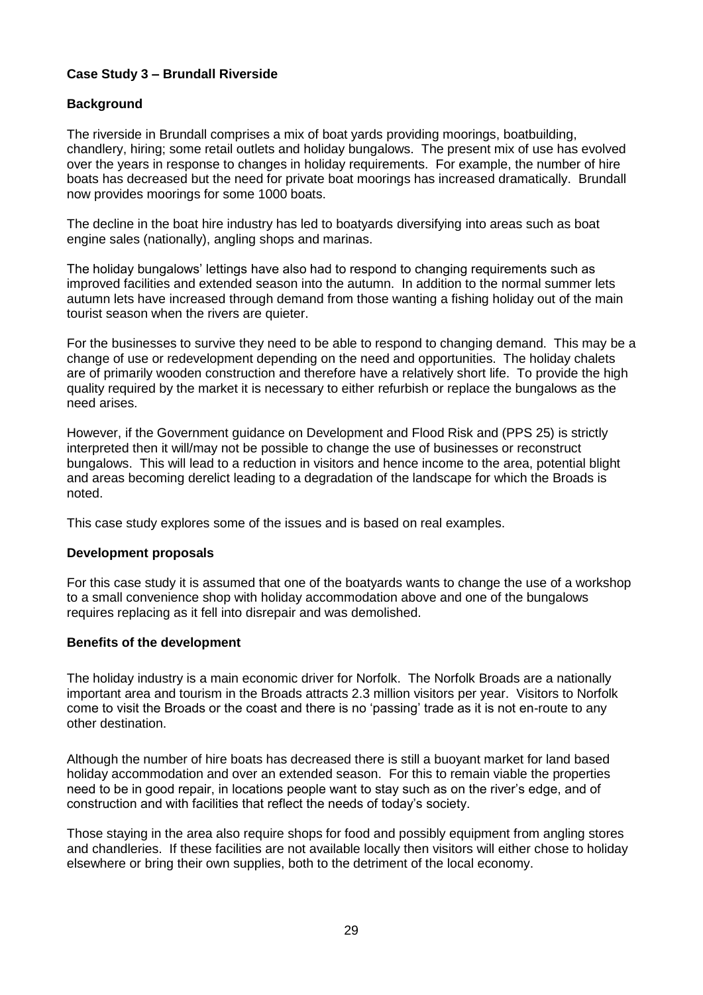## **Case Study 3 – Brundall Riverside**

### **Background**

 The riverside in Brundall comprises a mix of boat yards providing moorings, boatbuilding, chandlery, hiring; some retail outlets and holiday bungalows. The present mix of use has evolved over the years in response to changes in holiday requirements. For example, the number of hire boats has decreased but the need for private boat moorings has increased dramatically. Brundall now provides moorings for some 1000 boats.

 The decline in the boat hire industry has led to boatyards diversifying into areas such as boat engine sales (nationally), angling shops and marinas.

The holiday bungalows' lettings have also had to respond to changing requirements such as improved facilities and extended season into the autumn. In addition to the normal summer lets autumn lets have increased through demand from those wanting a fishing holiday out of the main tourist season when the rivers are quieter.

 For the businesses to survive they need to be able to respond to changing demand. This may be a change of use or redevelopment depending on the need and opportunities. The holiday chalets are of primarily wooden construction and therefore have a relatively short life. To provide the high quality required by the market it is necessary to either refurbish or replace the bungalows as the need arises.

 However, if the Government guidance on Development and Flood Risk and (PPS 25) is strictly interpreted then it will/may not be possible to change the use of businesses or reconstruct bungalows. This will lead to a reduction in visitors and hence income to the area, potential blight and areas becoming derelict leading to a degradation of the landscape for which the Broads is noted.

This case study explores some of the issues and is based on real examples.

#### **Development proposals**

 For this case study it is assumed that one of the boatyards wants to change the use of a workshop to a small convenience shop with holiday accommodation above and one of the bungalows requires replacing as it fell into disrepair and was demolished.

#### **Benefits of the development**

 The holiday industry is a main economic driver for Norfolk. The Norfolk Broads are a nationally important area and tourism in the Broads attracts 2.3 million visitors per year. Visitors to Norfolk come to visit the Broads or the coast and there is no "passing" trade as it is not en-route to any other destination.

other destination.<br>Although the number of hire boats has decreased there is still a buoyant market for land based holiday accommodation and over an extended season. For this to remain viable the properties need to be in good repair, in locations people want to stay such as on the river"s edge, and of construction and with facilities that reflect the needs of today"s society.

 Those staying in the area also require shops for food and possibly equipment from angling stores and chandleries. If these facilities are not available locally then visitors will either chose to holiday elsewhere or bring their own supplies, both to the detriment of the local economy.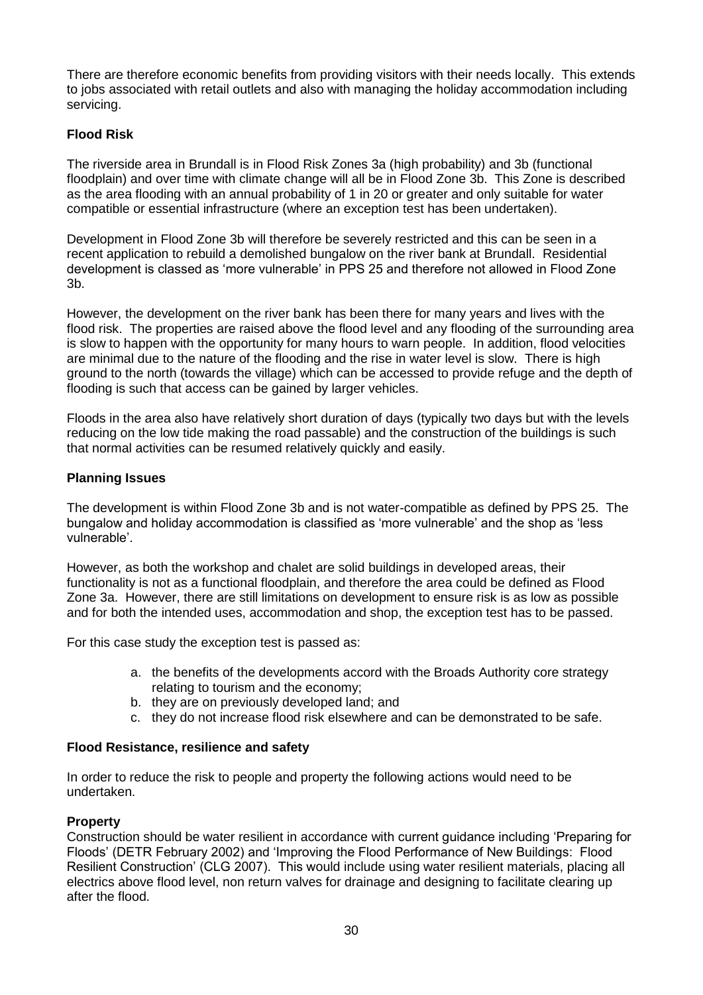There are therefore economic benefits from providing visitors with their needs locally. This extends to jobs associated with retail outlets and also with managing the holiday accommodation including servicing.

# **Flood Risk**

 The riverside area in Brundall is in Flood Risk Zones 3a (high probability) and 3b (functional floodplain) and over time with climate change will all be in Flood Zone 3b. This Zone is described as the area flooding with an annual probability of 1 in 20 or greater and only suitable for water compatible or essential infrastructure (where an exception test has been undertaken).

 Development in Flood Zone 3b will therefore be severely restricted and this can be seen in a recent application to rebuild a demolished bungalow on the river bank at Brundall. Residential development is classed as "more vulnerable" in PPS 25 and therefore not allowed in Flood Zone 3b.

 However, the development on the river bank has been there for many years and lives with the flood risk. The properties are raised above the flood level and any flooding of the surrounding area is slow to happen with the opportunity for many hours to warn people. In addition, flood velocities are minimal due to the nature of the flooding and the rise in water level is slow. There is high ground to the north (towards the village) which can be accessed to provide refuge and the depth of flooding is such that access can be gained by larger vehicles.

 Floods in the area also have relatively short duration of days (typically two days but with the levels reducing on the low tide making the road passable) and the construction of the buildings is such that normal activities can be resumed relatively quickly and easily.

### **Planning Issues**

 The development is within Flood Zone 3b and is not water-compatible as defined by PPS 25. The bungalow and holiday accommodation is classified as "more vulnerable" and the shop as "less vulnerable".

 However, as both the workshop and chalet are solid buildings in developed areas, their functionality is not as a functional floodplain, and therefore the area could be defined as Flood Zone 3a. However, there are still limitations on development to ensure risk is as low as possible and for both the intended uses, accommodation and shop, the exception test has to be passed.

For this case study the exception test is passed as:

- a. the benefits of the developments accord with the Broads Authority core strategy relating to tourism and the economy;
- b. they are on previously developed land; and
- c. they do not increase flood risk elsewhere and can be demonstrated to be safe.

#### **Flood Resistance, resilience and safety**

 In order to reduce the risk to people and property the following actions would need to be undertaken.

#### **Property**

 Construction should be water resilient in accordance with current guidance including "Preparing for Floods" (DETR February 2002) and "Improving the Flood Performance of New Buildings: Flood Resilient Construction" (CLG 2007). This would include using water resilient materials, placing all electrics above flood level, non return valves for drainage and designing to facilitate clearing up after the flood.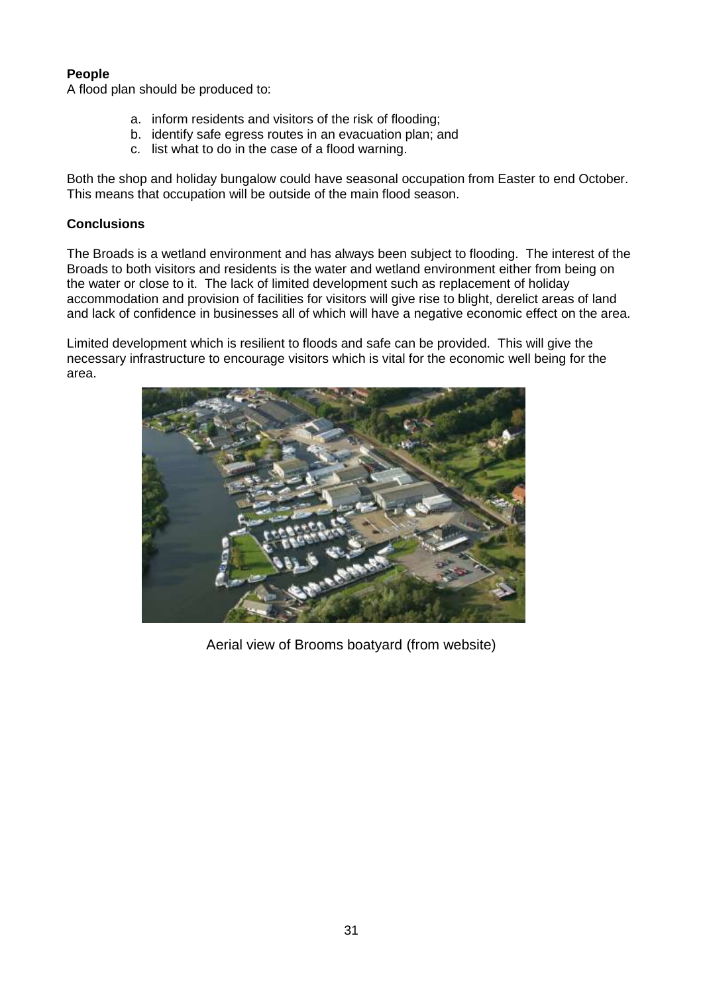## **People**

A flood plan should be produced to:

- a. inform residents and visitors of the risk of flooding;
- b. identify safe egress routes in an evacuation plan; and
- c. list what to do in the case of a flood warning.

 Both the shop and holiday bungalow could have seasonal occupation from Easter to end October. This means that occupation will be outside of the main flood season.

## **Conclusions**

 The Broads is a wetland environment and has always been subject to flooding. The interest of the Broads to both visitors and residents is the water and wetland environment either from being on the water or close to it. The lack of limited development such as replacement of holiday accommodation and provision of facilities for visitors will give rise to blight, derelict areas of land and lack of confidence in businesses all of which will have a negative economic effect on the area.

 Limited development which is resilient to floods and safe can be provided. This will give the necessary infrastructure to encourage visitors which is vital for the economic well being for the area.



Aerial view of Brooms boatyard (from website)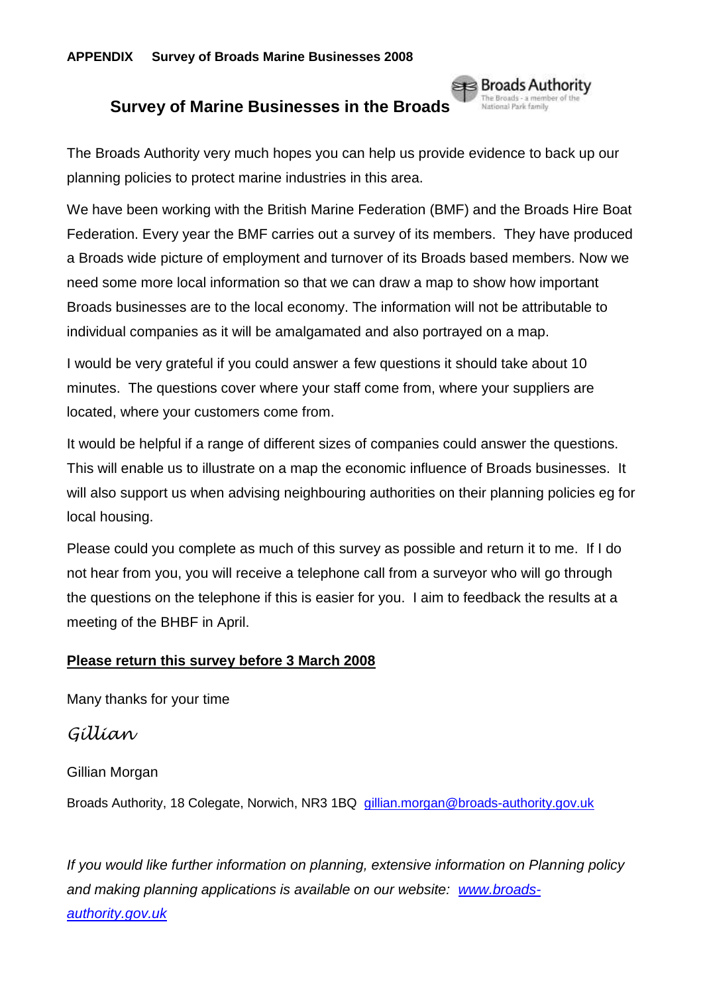# **Survey of Marine Businesses in the Broads**

The Broads Authority very much hopes you can help us provide evidence to back up our planning policies to protect marine industries in this area.

**se⊰** Broads Authority The Broads - a mem<br>National Park family

 Federation. Every year the BMF carries out a survey of its members. They have produced need some more local information so that we can draw a map to show how important individual companies as it will be amalgamated and also portrayed on a map. We have been working with the British Marine Federation (BMF) and the Broads Hire Boat a Broads wide picture of employment and turnover of its Broads based members. Now we Broads businesses are to the local economy. The information will not be attributable to

 I would be very grateful if you could answer a few questions it should take about 10 located, where your customers come from. minutes. The questions cover where your staff come from, where your suppliers are

 It would be helpful if a range of different sizes of companies could answer the questions. This will enable us to illustrate on a map the economic influence of Broads businesses. It will also support us when advising neighbouring authorities on their planning policies eg for local housing.

 Please could you complete as much of this survey as possible and return it to me. If I do not hear from you, you will receive a telephone call from a surveyor who will go through the questions on the telephone if this is easier for you. I aim to feedback the results at a meeting of the BHBF in April.

# **Please return this survey before 3 March 2008**

Many thanks for your time

# *Gillian*

Gillian Morgan

Broads Authority, 18 Colegate, Norwich, NR3 1BQ gillian.morgan@broads-authority.gov.uk

and making planning applications is available on our website: [www.broads-](http://www.broads-authority.gov.uk/)*If you would like further information on planning, extensive information on Planning policy [authority.gov.uk](http://www.broads-authority.gov.uk/)*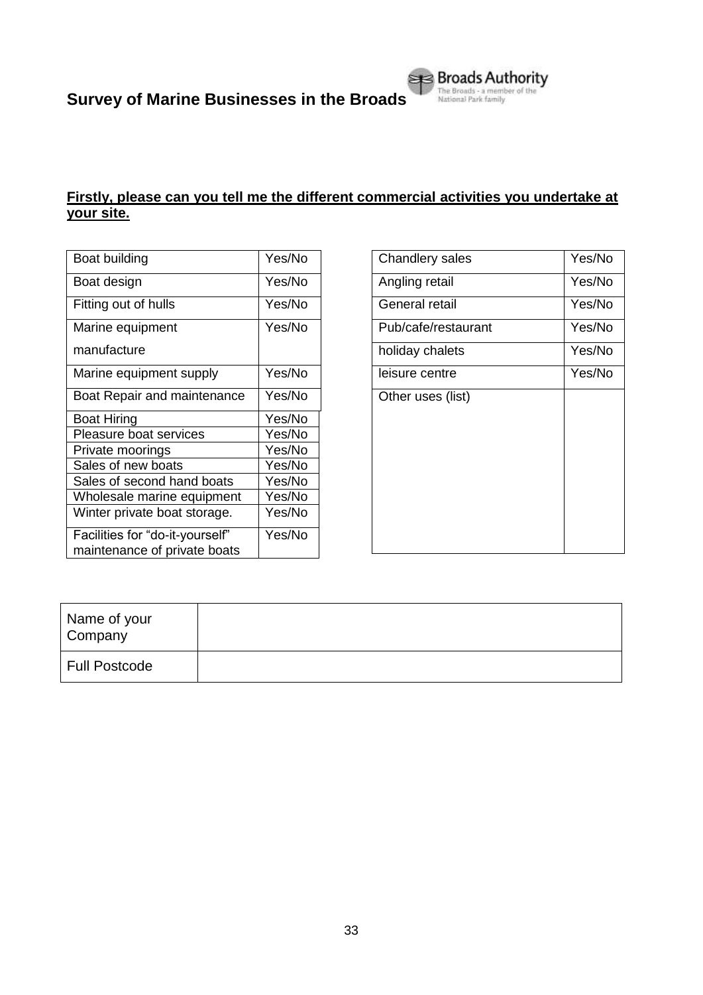

| Boat building                                                   | Yes/No |
|-----------------------------------------------------------------|--------|
| Boat design                                                     | Yes/No |
| Fitting out of hulls                                            | Yes/No |
| Marine equipment                                                | Yes/No |
| manufacture                                                     |        |
| Marine equipment supply                                         | Yes/No |
| Boat Repair and maintenance                                     | Yes/No |
| <b>Boat Hiring</b>                                              | Yes/No |
| Pleasure boat services                                          | Yes/No |
| Private moorings                                                | Yes/No |
| Sales of new boats                                              | Yes/No |
| Sales of second hand boats                                      | Yes/No |
| Wholesale marine equipment                                      | Yes/No |
| Winter private boat storage.                                    | Yes/No |
| Facilities for "do-it-yourself"<br>maintenance of private boats | Yes/No |

| Chandlery sales     | Yes/No |
|---------------------|--------|
| Angling retail      | Yes/No |
| General retail      | Yes/No |
| Pub/cafe/restaurant | Yes/No |
| holiday chalets     | Yes/No |
| leisure centre      | Yes/No |
| Other uses (list)   |        |
|                     |        |

| Name of your<br>Company |  |
|-------------------------|--|
| Full Postcode           |  |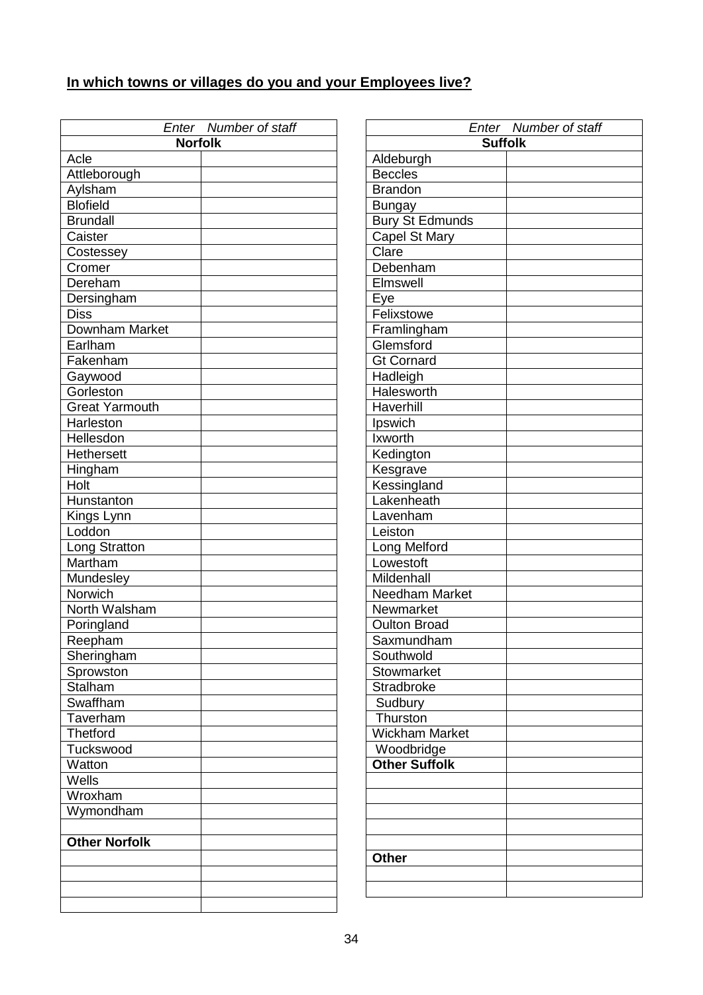# **In which towns or villages do you and your Employees live?**

| Enter Number of staff |  |  |  |
|-----------------------|--|--|--|
| <b>Norfolk</b>        |  |  |  |
| Acle                  |  |  |  |
| Attleborough          |  |  |  |
| Aylsham               |  |  |  |
| <b>Blofield</b>       |  |  |  |
| <b>Brundall</b>       |  |  |  |
| Caister               |  |  |  |
| Costessey             |  |  |  |
| Cromer                |  |  |  |
| Dereham               |  |  |  |
| Dersingham            |  |  |  |
| <b>Diss</b>           |  |  |  |
| Downham Market        |  |  |  |
| Earlham               |  |  |  |
| Fakenham              |  |  |  |
| Gaywood               |  |  |  |
| Gorleston             |  |  |  |
| <b>Great Yarmouth</b> |  |  |  |
| Harleston             |  |  |  |
| Hellesdon             |  |  |  |
| <b>Hethersett</b>     |  |  |  |
| Hingham               |  |  |  |
| Holt                  |  |  |  |
| Hunstanton            |  |  |  |
| Kings Lynn            |  |  |  |
| Loddon                |  |  |  |
| Long Stratton         |  |  |  |
| Martham               |  |  |  |
| Mundesley             |  |  |  |
| Norwich               |  |  |  |
| North Walsham         |  |  |  |
| Poringland            |  |  |  |
| Reepham               |  |  |  |
| Sheringham            |  |  |  |
| Sprowston             |  |  |  |
| <b>Stalham</b>        |  |  |  |
| Swaffham              |  |  |  |
| Taverham              |  |  |  |
| <b>Thetford</b>       |  |  |  |
| Tuckswood             |  |  |  |
| Watton                |  |  |  |
| Wells                 |  |  |  |
| Wroxham               |  |  |  |
| Wymondham             |  |  |  |
|                       |  |  |  |
| <b>Other Norfolk</b>  |  |  |  |
|                       |  |  |  |
|                       |  |  |  |
|                       |  |  |  |
|                       |  |  |  |

|                        | Enter Number of staff |
|------------------------|-----------------------|
| <b>Suffolk</b>         |                       |
| Aldeburgh              |                       |
| <b>Beccles</b>         |                       |
| <b>Brandon</b>         |                       |
| <b>Bungay</b>          |                       |
| <b>Bury St Edmunds</b> |                       |
| Capel St Mary          |                       |
| Clare                  |                       |
| Debenham               |                       |
| Elmswell               |                       |
| Eye                    |                       |
| Felixstowe             |                       |
| Framlingham            |                       |
| Glemsford              |                       |
| <b>Gt Cornard</b>      |                       |
| Hadleigh               |                       |
| Halesworth             |                       |
| Haverhill              |                       |
| Ipswich                |                       |
| Ixworth                |                       |
| Kedington              |                       |
| Kesgrave               |                       |
| Kessingland            |                       |
| Lakenheath             |                       |
| Lavenham               |                       |
| Leiston                |                       |
| Long Melford           |                       |
| Lowestoft              |                       |
| Mildenhall             |                       |
| <b>Needham Market</b>  |                       |
| Newmarket              |                       |
| <b>Oulton Broad</b>    |                       |
| Saxmundham             |                       |
| Southwold              |                       |
| Stowmarket             |                       |
| Stradbroke             |                       |
| Sudbury                |                       |
| Thurston               |                       |
| <b>Wickham Market</b>  |                       |
| Woodbridge             |                       |
| <b>Other Suffolk</b>   |                       |
|                        |                       |
|                        |                       |
|                        |                       |
|                        |                       |
|                        |                       |
| <b>Other</b>           |                       |
|                        |                       |
|                        |                       |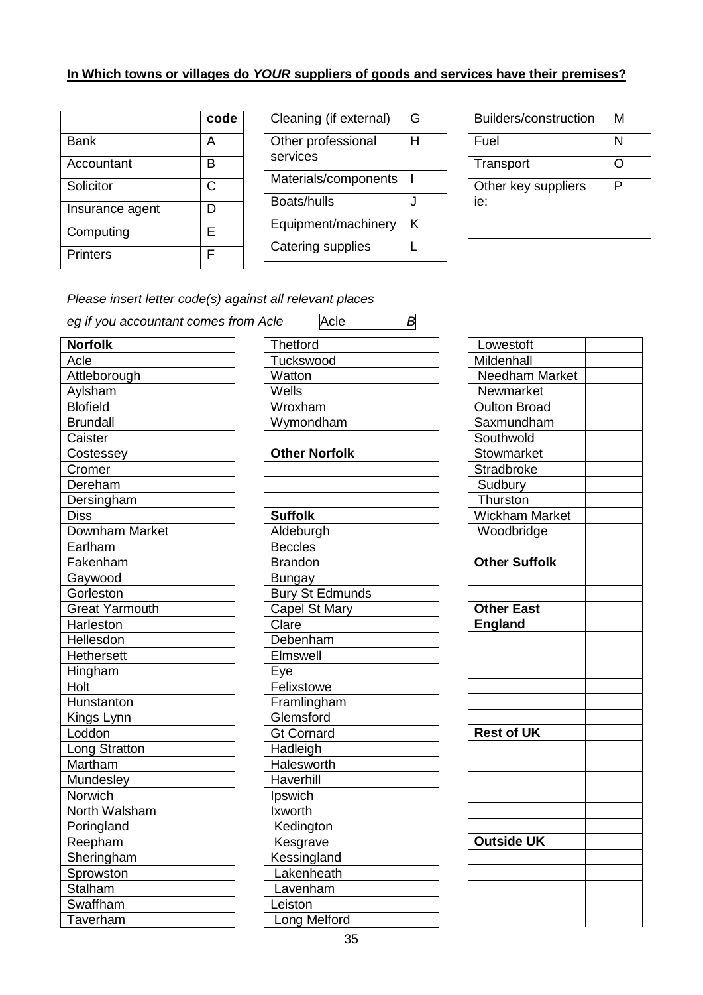### **In Which towns or villages do** *YOUR* **suppliers of goods and services have their premises?**

|                 | code |
|-----------------|------|
| Bank            | А    |
| Accountant      | B    |
| Solicitor       | С    |
| Insurance agent | D    |
| Computing       | E    |
| <b>Printers</b> | F    |

| Cleaning (if external)         | G |
|--------------------------------|---|
| Other professional<br>services | н |
| Materials/components           |   |
| Boats/hulls                    |   |
| Equipment/machinery            | K |
| Catering supplies              |   |

| Builders/construction      | М |
|----------------------------|---|
| Fuel                       | N |
| Transport                  |   |
| Other key suppliers<br>ie: | Р |

 *Please insert letter code(s) against all relevant places* 

| eg if you accountant comes from Acle | Acle                   | B |
|--------------------------------------|------------------------|---|
| <b>Norfolk</b>                       | <b>Thetford</b>        |   |
| Acle                                 | Tuckswood              |   |
| Attleborough                         | Watton                 |   |
| Aylsham                              | Wells                  |   |
| <b>Blofield</b>                      | Wroxham                |   |
| <b>Brundall</b>                      | Wymondham              |   |
| Caister                              |                        |   |
| Costessey                            | <b>Other Norfolk</b>   |   |
| Cromer                               |                        |   |
| Dereham                              |                        |   |
| Dersingham                           |                        |   |
| <b>Diss</b>                          | <b>Suffolk</b>         |   |
| <b>Downham Market</b>                | Aldeburgh              |   |
| Earlham                              | <b>Beccles</b>         |   |
| Fakenham                             | <b>Brandon</b>         |   |
| Gaywood                              | <b>Bungay</b>          |   |
| Gorleston                            | <b>Bury St Edmunds</b> |   |
| <b>Great Yarmouth</b>                | Capel St Mary          |   |
| Harleston                            | Clare                  |   |
| Hellesdon                            | Debenham               |   |
| <b>Hethersett</b>                    | Elmswell               |   |
| Hingham                              | Eye                    |   |
| Holt                                 | Felixstowe             |   |
| Hunstanton                           | Framlingham            |   |
| Kings Lynn                           | Glemsford              |   |
| Loddon                               | <b>Gt Cornard</b>      |   |
| Long Stratton                        | Hadleigh               |   |
| Martham                              | Halesworth             |   |
| Mundesley                            | Haverhill              |   |
| Norwich                              | Ipswich                |   |
| North Walsham                        | Ixworth                |   |
| Poringland                           | Kedington              |   |
| Reepham                              | Kesgrave               |   |
| Sheringham                           | Kessingland            |   |
| Sprowston                            | Lakenheath             |   |
| Stalham                              | Lavenham               |   |
| Swaffham                             | Leiston                |   |
| Taverham                             | Long Melford           |   |

| יטוס           | una                    | ⋻ |
|----------------|------------------------|---|
| Thetford       |                        |   |
|                | Tuckswood              |   |
| Watton         |                        |   |
| Wells          |                        |   |
|                | Wroxham                |   |
|                | Wymondham              |   |
|                |                        |   |
|                | <b>Other Norfolk</b>   |   |
|                |                        |   |
|                |                        |   |
|                |                        |   |
| <b>Suffolk</b> |                        |   |
|                | Aldeburgh              |   |
| <b>Beccles</b> |                        |   |
| <b>Brandon</b> |                        |   |
| <b>Bungay</b>  |                        |   |
|                | <b>Bury St Edmunds</b> |   |
|                | Capel St Mary          |   |
| Clare          |                        |   |
|                | Debenham               |   |
|                | Elmswell               |   |
| <u>Eye</u>     |                        |   |
|                | Felixstowe             |   |
|                | Framlingham            |   |
|                | Glemsford              |   |
|                | <b>Gt Cornard</b>      |   |
|                | Hadleigh               |   |
|                | Halesworth             |   |
|                | Haverhill              |   |
| Ipswich        |                        |   |
| Ixworth        |                        |   |
|                | Kedington              |   |
|                | Kesgrave               |   |
|                | Kessingland            |   |
|                | Lakenheath             |   |
|                | Lavenham               |   |
| Leiston        |                        |   |
|                | Long Melford           |   |

| Lowestoft             |  |
|-----------------------|--|
|                       |  |
| Mildenhall            |  |
| Needham Market        |  |
| Newmarket             |  |
| Oulton Broad          |  |
| Saxmundham            |  |
| Southwold             |  |
| <b>Stowmarket</b>     |  |
| <b>Stradbroke</b>     |  |
| Sudbury               |  |
| Thurston              |  |
| <b>Wickham Market</b> |  |
| Woodbridge            |  |
|                       |  |
| <b>Other Suffolk</b>  |  |
|                       |  |
|                       |  |
| <b>Other East</b>     |  |
| <b>England</b>        |  |
|                       |  |
|                       |  |
|                       |  |
|                       |  |
|                       |  |
|                       |  |
|                       |  |
| <b>Rest of UK</b>     |  |
|                       |  |
|                       |  |
|                       |  |
|                       |  |
|                       |  |
|                       |  |
| <b>Outside UK</b>     |  |
|                       |  |
|                       |  |
|                       |  |
|                       |  |